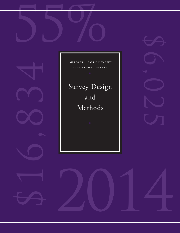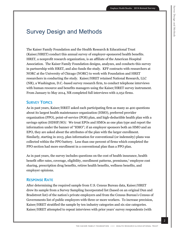# Survey Design and Methods

The Kaiser Family Foundation and the Health Research & Educational Trust (Kaiser/HRET) conduct this annual survey of employer-sponsored health benefits. HRET, a nonprofit research organization, is an affiliate of the American Hospital Association. The Kaiser Family Foundation designs, analyzes, and conducts this survey in partnership with HRET, and also funds the study. KFF contracts with researchers at NORC at the University of Chicago (NORC) to work with Foundation and HRET researchers in conducting the study. Kaiser/HRET retained National Research, LLC (NR), a Washington, D.C.-based survey research firm, to conduct telephone interviews with human resource and benefits managers using the Kaiser/HRET survey instrument. From January to May 2014, NR completed full interviews with 2,052 firms.

# **SURVEY TOPICS**

As in past years, Kaiser/HRET asked each participating firm as many as 400 questions about its largest health maintenance organization (HMO), preferred provider organization (PPO), point-of-service (POS) plan, and high-deductible health plan with a savings option (HDHP/SO). We treat EPOs and HMOs as one plan type and report the information under the banner of "HMO"; if an employer sponsors both an HMO and an EPO, they are asked about the attributes of the plan with the larger enrollment. Similarly, starting in 2013, plan information for conventional (or indemnity) plans was collected within the PPO battery. Less than one percent of firms which completed the PPO section had more enrollment in a conventional plan than a PPO plan.

As in past years, the survey includes questions on the cost of health insurance, health benefit offer rates, coverage, eligibility, enrollment patterns, premiums, employee cost sharing, prescription drug benefits, retiree health benefits, wellness benefits, and employer opinions.

# **RESPONSE RATE**

After determining the required sample from U.S. Census Bureau data, Kaiser/HRET drew its sample from a Survey Sampling Incorporated list (based on an original Dun and Bradstreet list) of the nation's private employers and from the Census Bureau's Census of Governments list of public employers with three or more workers. To increase precision, Kaiser/HRET stratified the sample by ten industry categories and six size categories. Kaiser/HRET attempted to repeat interviews with prior years' survey respondents (with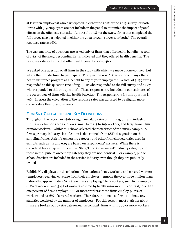Survey Design and Methods

Survey Design and Methods

at least ten employees) who participated in either the 2012 or the 2013 survey, or both. Firms with 3-9 employees are not include in the panel to minimize the impact of panel effects on the offer rate statistic. As a result, 1,587 of the 2,052 firms that completed the full survey also participated in either the 2012 or 2013 surveys, or both.<sup>iii</sup> The overall response rate is 46%.<sup>iv</sup>

The vast majority of questions are asked only of firms that offer health benefits. A total of 1,827 of the 2,052 responding firms indicated that they offered health benefits. The response rate for firms that offer health benefits is also 46%.

We asked one question of all firms in the study with which we made phone contact , but where the firm declined to participate. The question was, "Does your company offer a health insurance program as a benefit to any of your employees?" A total of 3,139 firms responded to this question (including 2,052 who responded to the full survey and 1,087 who responded to this one question). These responses are included in our estimates of the percentage of firms offering health benefits. $^{\prime}$  The response rate for this question is 70%. In 2012 the calculation of the response rates was adjusted to be slightly more conservative than previous years.

#### **FIRM SIZE CATEGORIES AND KEY DEFINITIONS**

Throughout the report, exhibits categorize data by size of firm, region, and industry. Firm size definitions are as follows: small firms: 3 to 199 workers; and large firms: 200 or more workers. Exhibit M.1 shows selected characteristics of the survey sample. A firm's primary industry classification is determined from SSI's designation on the sampling frame. A firm's ownership category and other firm characteristics used in exhibits such as 3.2 and 6.19 are based on respondents' answers. While there is considerable overlap in firms in the "State/Local Government" industry category and those in the "public" ownership category they are not identical. For example, public school districts are included in the service industry even though they are publically owned

Exhibit M.2 displays the distribution of the nation's firms, workers, and covered workers (employees receiving coverage from their employer). Among the over three million firms nationally, approximately 61.2% are firms employing 3 to 9 workers; such firms employ 8.2% of workers, and 3.4% of workers covered by health insurance. In contrast, less than one percent of firms employ 1,000 or more workers; these firms employ 48.2% of workers and 54.6% of covered workers. Therefore, the smallest firms dominate any statistics weighted by the number of employers. For this reason, most statistics about firms are broken out by size categories. In contrast, firms with 1,000 or more workers

3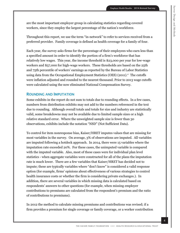are the most important employer group in calculating statistics regarding covered workers, since they employ the largest percentage of the nation's workforce.

Throughout this report, we use the term "in-network" to refer to services received from a preferred provider. Family coverage is defined as health coverage for a family of four.

Each year, the survey asks firms for the percentage of their employees who earn less than a specified amount in order to identify the portion of a firm's workforce that has relatively low wages. This year, the income threshold is \$23,000 per year for low-wage workers and \$57,000 for high-wage workers. These thresholds are based on the 25th and 75th percentile of workers' earnings as reported by the Bureau of Labor Statistics using data from the Occupational Employment Statistics (OES)  $(2011)^{v_i}$  The cutoffs were inflation adjusted and rounded to the nearest thousand. Prior to 2013 wage cutoffs were calculated using the now eliminated National Compensation Survey.

#### **ROUNDING AND IMPUTATION**

Some exhibits in the report do not sum to totals due to rounding effects. In a few cases, numbers from distribution exhibits may not add to the numbers referenced in the text due to rounding. Although overall totals and totals for size and industry are statistically valid, some breakdowns may not be available due to limited sample sizes or a high relative standard error. Where the unweighted sample size is fewer than 30 observations, exhibits include the notation "NSD" (Not Sufficient Data).

To control for item nonresponse bias, Kaiser/HRET imputes values that are missing for most variables in the survey. On average, 3% of observations are imputed. All variables are imputed following a hotdeck approach. In 2014, there were 15 variables where the imputation rate exceeded 20%. For these cases, the unimputed variable is compared with the imputed variable. Also, most of these cases were for individual plan level statistics - when aggregate variables were constructed for all of the plans the imputation rate is much lower. There are a few variables that Kaiser/HRET has decided not to impute; these are typically variables where "don't know" is considered a valid response option (for example, firms' opinions about effectiveness of various strategies to control health insurance costs or whether the firm is considering private exchanges.). In addition, there are several variables in which missing data is calculated based on respondents' answers to other questions (for example, when missing employer contributions to premiums are calculated from the respondent's premium and the ratio of contributions to premiums).

In 2012 the method to calculate missing premiums and contributions was revised; if a firm provides a premium for single coverage or family coverage, or a worker contribution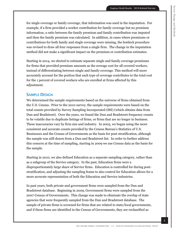for single coverage or family coverage, that information was used in the imputation. For example, if a firm provided a worker contribution for family coverage but no premium information, a ratio between the family premium and family contribution was imputed and then the family premium was calculated. In addition, in cases where premiums or contributions for both family and single coverage were missing, the hotdeck procedure was revised to draw all four responses from a single firm. The change in the imputation method did not make a significant impact on the premium or contribution estimates.

Starting in 2014, we elected to estimate separate single and family coverage premiums for firms that provided premium amounts as the average cost for all covered workers, instead of differentiating between single and family coverage. This method will more accurately account for the portion that each type of coverage contributes to the total cost for the 1 percent of covered workers who are enrolled at firms affected by this adjustment.

# **SAMPLE DESIGN**

We determined the sample requirements based on the universe of firms obtained from the U.S. Census. Prior to the 2010 survey, the sample requirements were based on the total counts provided by Survey Sampling Incorporated (SSI) (which obtains data from Dun and Bradstreet). Over the years, we found the Dun and Bradstreet frequency counts to be volatile due to duplicate listings of firms, or firms that are no longer in business. These inaccuracies vary by firm size and industry. In 2003, we began using the more consistent and accurate counts provided by the Census Bureau's Statistics of U.S. Businesses and the Census of Governments as the basis for post-stratification, although the sample was still drawn from a Dun and Bradstreet list. In order to further address this concern at the time of sampling, starting in 2009 we use Census data as the basis for the sample.

Starting in 2010, we also defined Education as a separate sampling category, rather than as a subgroup of the Service category. In the past, Education firms were a disproportionately large share of Service firms. Education is controlled for during poststratification, and adjusting the sampling frame to also control for Education allows for a more accurate representation of both the Education and Service industries.

In past years, both private and government firms were sampled from the Dun and Bradstreet database. Beginning in 2009, Government firms were sampled from the 2007 Census of Governments. This change was made to eliminate the overlap of state agencies that were frequently sampled from the Dun and Bradstreet database. The sample of private firms is screened for firms that are related to state/local governments, and if these firms are identified in the Census of Governments, they are reclassified as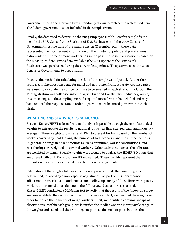government firms and a private firm is randomly drawn to replace the reclassified firm. The federal government is not included in the sample frame.

Finally, the data used to determine the 2014 Employer Health Benefits sample frame include the U.S. Census' 2010 Statistics of U.S. Businesses and the 2007 Census of Governments. At the time of the sample design (December 2013), these data represented the most current information on the number of public and private firms nationwide with three or more workers. As in the past, the post-stratification is based on the most up-to-date Census data available (the 2011 update to the Census of U.S. Businesses was purchased during the survey field period). This year we used the 2012 Census of Governments to post-stratify.

In 2012, the method for calculating the size of the sample was adjusted. Rather than using a combined response rate for panel and non-panel firms, separate response rates were used to calculate the number of firms to be selected in each strata. In addition, the Mining stratum was collapsed into the Agriculture and Construction industry grouping. In sum, changes to the sampling method required more firms to be included and may have reduced the response rate in order to provide more balanced power within each strata.

#### **WEIGHTING AND STATISTICAL SIGNIFICANCE**

Because Kaiser/HRET selects firms randomly, it is possible through the use of statistical weights to extrapolate the results to national (as well as firm size, regional, and industry) averages. These weights allow Kaiser/HRET to present findings based on the number of workers covered by health plans, the number of total workers, and the number of firms. In general, findings in dollar amounts (such as premiums, worker contributions, and cost sharing) are weighted by covered workers. Other estimates, such as the offer rate, are weighted by firms. Specific weights were created to analyze the HDHP/SO plans that are offered with an HRA or that are HSA-qualified. These weights represent the proportion of employees enrolled in each of these arrangements.

Calculation of the weights follows a common approach. First, the basic weight is determined, followed by a nonresponse adjustment. As part of this nonresponse adjustment, Kaiser/HRET conducted a small follow-up survey of those firms with 3 to 49 workers that refused to participate in the full survey. Just as in years passed, Kaiser/HRET conducted a McNemar test to verify that the results of the follow-up survey are comparable to the results from the original survey. Next, we trimmed the weights in order to reduce the influence of weight outliers. First, we identified common groups of observations. Within each group, we identified the median and the interquartile range of the weights and calculated the trimming cut point as the median plus six times the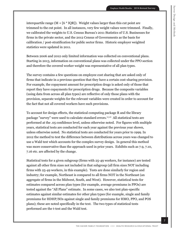interquartile range  $(M + 6 * IQR)$ . Weight values larger than this cut point are trimmed to the cut point. In all instances, very few weight values were trimmed. Finally, we calibrated the weights to U.S. Census Bureau's 2011 Statistics of U.S. Businesses for firms in the private sector, and the 2012 Census of Governments as the basis for calibration / post-stratification for public sector firms. Historic employer weighted statistics were updated in 2011.

Between 2006 and 2012 only limited information was collected on conventional plans. Starting in 2013, information on conventional plans was collected under the PPO section and therefore the covered worker weight was representative of all plan types.

The survey contains a few questions on employee cost sharing that are asked only of firms that indicate in a previous question that they have a certain cost-sharing provision. For example, the copayment amount for prescription drugs is asked only of those that report they have copayments for prescription drugs. Because the composite variables (using data from across all plan types) are reflective of only those plans with the provision, separate weights for the relevant variables were created in order to account for the fact that not all covered workers have such provisions.

To account for design effects, the statistical computing package R and the library package "survey" were used to calculate standard errors. Vii, Viii All statistical tests are performed at the .05 confidence level, unless otherwise noted. For figures with multiple years, statistical tests are conducted for each year against the previous year shown, unless otherwise noted. No statistical tests are conducted for years prior to 1999. In 2012 the method to test the difference between distributions across years was changed to use a Wald test which accounts for the complex survey design. In general this method was more conservative than the approach used in prior years. Exhibits such as 7.9, 7.10, 7.16 etc. are affected by the change.

Statistical tests for a given subgroup (firms with 25-49 workers, for instance) are tested against all other firm sizes not included in that subgroup (all firm sizes NOT including firms with 25-49 workers, in this example). Tests are done similarly for region and industry; for example, Northeast is compared to all firms NOT in the Northeast (an aggregate of firms in the Midwest, South, and West). However, statistical tests for estimates compared across plan types (for example, average premiums in PPOs) are tested against the "All Plans" estimate. In some cases, we also test plan-specific estimates against similar estimates for other plan types (for example, single and family premiums for HDHP/SOs against single and family premiums for HMO, PPO, and POS plans); these are noted specifically in the text. The two types of statistical tests performed are the t-test and the Wald test.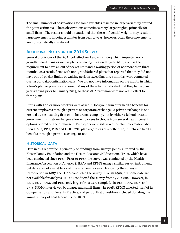The small number of observations for some variables resulted in large variability around the point estimates. These observations sometimes carry large weights, primarily for small firms. The reader should be cautioned that these influential weights may result in large movements in point estimates from year to year; however, often these movements are not statistically significant.

# **ADDITIONAL NOTES ON THE 2014 SURVEY**

Several provisions of the ACA took effect on January 1, 2014 which impacted nongrandfathered plans as well as plans renewing in calendar year 2014, such as the requirement to have an out of pocket limit and a waiting period of not more than three months. As a result, firms with non-grandfathered plans that reported that they did not have out-of-pocket limits, or waiting periods exceeding three months, were contacted during our data-confirmation calls. We did not have information on the month in which a firm's plan or plans was renewed. Many of these firms indicated that they had a plan year starting prior to January 2014, so these ACA provision were not yet in effect for these plans.

Firms with 200 or more workers were asked: "Does your firm offer health benefits for current employees through a private or corporate exchange? A private exchange is one created by a consulting firm or an insurance company, not by either a federal or state government. Private exchanges allow employees to choose from several health benefit options offered on the exchange." Employers were still asked for plan information about their HMO, PPO, POS and HDHP/SO plan regardless of whether they purchased health benefits through a private exchange or not.

# **HISTORICAL DATA**

Data in this report focus primarily on findings from surveys jointly authored by the Kaiser Family Foundation and the Health Research & Educational Trust, which have been conducted since 1999. Prior to 1999, the survey was conducted by the Health Insurance Association of America (HIAA) and KPMG using a similar survey instrument, but data are not available for all the intervening years. Following the survey's introduction in 1987, the HIAA conducted the survey through 1990, but some data are not available for analysis. KPMG conducted the survey from 1991-1998. However, in 1991, 1992, 1994, and 1997, only larger firms were sampled. In 1993, 1995, 1996, and 1998, KPMG interviewed both large and small firms. In 1998, KPMG divested itself of its Compensation and Benefits Practice, and part of that divestiture included donating the annual survey of health benefits to HRET.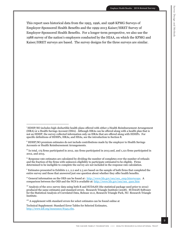Survey Design and Methods

Survey Design and Methods

This report uses historical data from the 1993, 1996, and 1998 KPMG Surveys of Employer-Sponsored Health Benefits and the 1999-2013 Kaiser/HRET Survey of Employer-Sponsored Health Benefits. For a longer-term perspective, we also use the 1988 survey of the nation's employers conducted by the HIAA, on which the KPMG and Kaiser/HRET surveys are based. The survey designs for the three surveys are similar.

1

i HDHP/SO includes high-deductible health plans offered with either a Health Reimbursement Arrangement (HRA) or a Health Savings Account (HSA). Although HRAs can be offered along with a health plan that is not an HDHP, the survey collected information only on HRAs that are offered along with HDHPs. For specific definitions of HDHPs, HRAs, and HSAs, see the introduction to Section 8.

ii HDHP/SO premium estimates do not include contributions made by the employer to Health Savings Accounts or Health Reimbursement Arrangements.

 $\mathbb{I}$  In total, 175 firms participated in 2012, 291 firms participated in 2013 and, and 1,121 firms participated in 2012, and 2013.

 $\dot{v}$  Response rate estimates are calculated by dividing the number of completes over the number of refusals and the fraction of the firms with unknown eligibility to participate estimated to be eligible. Firms determined to be ineligible to complete the survey are not included in the response rate calculation.

 $\vee$  Estimates presented in Exhibits 2.1, 2.2 and 2.3 are based on the sample of both firms that completed the entire survey and those that answered just one question about whether they offer health benefits.

vi General information on the OES can be found at : http://www.bls.gov/oes/oes\_emp.htm#scope. A comparison between the OES and the NCS is available at: http://www.bls.gov/oes/oes\_ques.htm

vii Analysis of the 2011 survey data using both R and SUDAAN (the statistical package used prior to 2012) produced the same estimates and standard errors. Research Triangle Institute (2008). SUDAAN Software for the Statistical Analysis of Correlated Data, Release 10.0, Research Triangle Park, NC: Research Triangle Institute.

viii A supplement with standard errors for select estimates can be found online at

Technical Supplement: Standard Error Tables for Selected Estimates, http://www.kff.org/insurance/8345.cfm.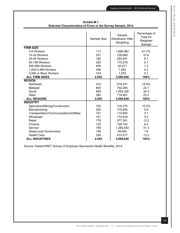|                                         | Sample Size | Sample<br><b>Distribution After</b><br>Weighting | Percentage of<br><b>Total for</b><br>Weighted<br>Sample |
|-----------------------------------------|-------------|--------------------------------------------------|---------------------------------------------------------|
| <b>FIRM SIZE</b>                        |             |                                                  |                                                         |
| 3-9 Workers                             | 113         | 1,896,982                                        | 61.2%                                                   |
| 10-24 Workers                           | 201         | 726,668                                          | 23.4                                                    |
| 25-49 Workers                           | 182         | 250,857                                          | 8.1                                                     |
| 50-199 Workers                          | 282         | 175,278                                          | 5.7                                                     |
| 200-999 Workers                         | 459         | 40,471                                           | 1.3                                                     |
| 1,000-4,999 Workers                     | 496         | 7,593                                            | 0.2                                                     |
| 5,000 or More Workers                   | 319         | 1,979                                            | 0.1                                                     |
| <b>ALL FIRM SIZES</b>                   | 2,052       | 3,099,828                                        | 100%                                                    |
| <b>REGION</b>                           |             |                                                  |                                                         |
| <b>Northeast</b>                        | 410         | 616,437                                          | 19.9%                                                   |
| Midwest                                 | 600         | 702,264                                          | 22.7                                                    |
| South                                   | 659         | 1,062,326                                        | 34.3                                                    |
| West                                    | 383         | 718,801                                          | 23.2                                                    |
| <b>ALL REGIONS</b>                      | 2,052       | 3,099,828                                        | 100%                                                    |
| <b>INDUSTRY</b>                         |             |                                                  |                                                         |
| Agriculture/Mining/Construction         | 105         | 316,375                                          | 10.2%                                                   |
| Manufacturing                           | 200         | 179,830                                          | 5.8                                                     |
| Transportation/Communications/Utilities | 101         | 115,800                                          | 3.7                                                     |
| Wholesale                               | 101         | 170,639                                          | 5.5                                                     |
| Retail                                  | 179         | 377,391                                          | 12.2                                                    |
| Finance                                 | 125         | 199,722                                          | 6.4                                                     |
| Service                                 | 759         | 1,280,540                                        | 41.3                                                    |
| State/Local Government                  | 148         | 48,954                                           | 1.6                                                     |
| <b>Health Care</b>                      | 334         | 410,577                                          | 13.2                                                    |
| <b>ALL INDUSTRIES</b>                   | 2,052       | 3,099,828                                        | 100%                                                    |

**Exhibit M.1 Selected Characteristics of Firms in the Survey Sample, 2014**

Source: Kaiser/HRET Survey of Employer-Sponsored Health Benefits, 2014.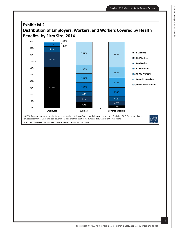

SOURCES: Kaiser/HRET Survey of Employer-Sponsored Health Benefits, 2014.